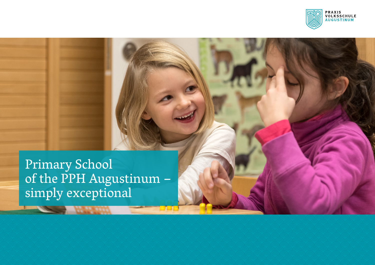

Primary School<br>of the PPH Augustinum –<br>simply exceptional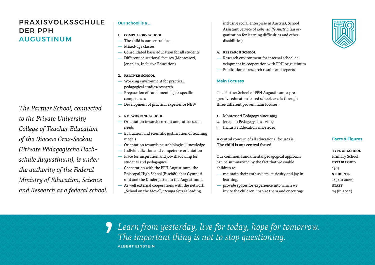# PRAXISVOI KSSCHULE DER PPH AUGUSTINUM

*The Partner School, connected to the Private University College of Teacher Education of the Diocese Graz-Seckau (Private Pädagogische Hochschule Augustinum), is under the authority of the Federal Ministry of Education, Science and Research as a federal school.*

# **Our school is a …**

- **1. compulsory school**
	- The child is our central focus
- Mixed-age classes
- Consolidated basic education for all students
- Different educational focuses (Montessori, Jenaplan, Inclusive Education)
- **2. partner school**
- Working environment for practical, pedagogical studies/research
- Preparation of fundamental, job-specific competences
- Development of practical experience NEW
- **3. networking school**
- Orientation towards current and future social needs
- Evaluation and scientific justification of teaching models
- Orientation towards neurobiological knowledge
- Individualization and competence orientation
- Place for inspiration and job-shadowing for students and pedagogues
- Cooperation with the PPH Augustinum, the Episcopal High School (Bischöfliches Gymnasium) and the Kindergarten in the Augustinum.
- As well external cooperations with the network "School on the Move", *atempo Graz* (a leading

inclusive social enterprise in Austria), School Assistant Service of *Lebenshilfe Austria* (an organization for learning difficulties and other disabilities)

#### **4. research school**

- Research environment for internal school development in cooperation with PPH Augustinum
- Publication of research results and reports

### **Main Focuses**

The Partner School of PPH Augustinum, a progressive education-based school, excels through three different proven main focuses:

- 1. Montessori Pedagogy since 1985
- 2. Jenaplan Pedagogy since 2007
- 3. Inclusive Education since 2010

## A central concern of all educational focuses is: **The child is our central focus!**

Our common, fundamental pedagogical approach can be summarized by the fact that we enable children to:

- maintain their enthusiasm, curiosity and joy in learning,
- provide spaces for experience into which we invite the children, inspire them and encourage



| <b>TYPE OF SCHOOL</b> |
|-----------------------|
| Primary School        |
| <b>ESTABLISHED</b>    |
| 1967                  |
| <b>STUDENTS</b>       |
| 165 (in 2022)         |
|                       |
| <b>STAFF</b>          |
| 24 (in 2022)          |

*Learn from yesterday, live for today, hope for tomorrow. The important thing is not to stop questioning.* ALBERT EINSTEIN 5)